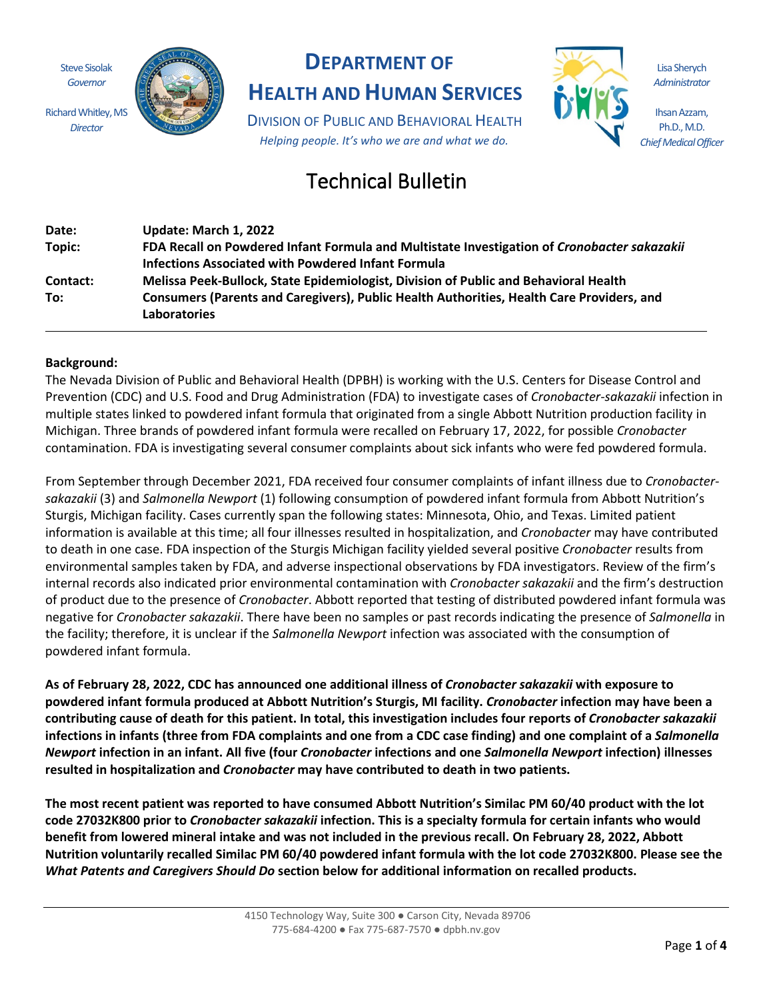Steve Sisolak *Governor*

Richard Whitley, MS *Director*



# **DEPARTMENT OF**

# **HEALTH AND HUMAN SERVICES**

DIVISION OF PUBLIC AND BEHAVIORAL HEALTH *Helping people. It's who we are and what we do.*



Lisa Sherych *Administrator*

Ihsan Azzam, Ph.D., M.D. *Chief Medical Officer*

# Technical Bulletin

| Date:    | Update: March 1, 2022                                                                                            |
|----------|------------------------------------------------------------------------------------------------------------------|
| Topic:   | FDA Recall on Powdered Infant Formula and Multistate Investigation of Cronobacter sakazakii                      |
|          | <b>Infections Associated with Powdered Infant Formula</b>                                                        |
| Contact: | Melissa Peek-Bullock, State Epidemiologist, Division of Public and Behavioral Health                             |
| To:      | Consumers (Parents and Caregivers), Public Health Authorities, Health Care Providers, and<br><b>Laboratories</b> |

## **Background:**

The Nevada Division of Public and Behavioral Health (DPBH) is working with the U.S. Centers for Disease Control and Prevention (CDC) and U.S. Food and Drug Administration (FDA) to investigate cases of *Cronobacter-sakazakii* infection in multiple states linked to powdered infant formula that originated from a single Abbott Nutrition production facility in Michigan. Three brands of powdered infant formula were recalled on February 17, 2022, for possible *Cronobacter* contamination. FDA is investigating several consumer complaints about sick infants who were fed powdered formula.

From September through December 2021, FDA received four consumer complaints of infant illness due to *Cronobactersakazakii* (3) and *Salmonella Newport* (1) following consumption of powdered infant formula from Abbott Nutrition's Sturgis, Michigan facility. Cases currently span the following states: Minnesota, Ohio, and Texas. Limited patient information is available at this time; all four illnesses resulted in hospitalization, and *Cronobacter* may have contributed to death in one case. FDA inspection of the Sturgis Michigan facility yielded several positive *Cronobacter* results from environmental samples taken by FDA, and adverse inspectional observations by FDA investigators. Review of the firm's internal records also indicated prior environmental contamination with *Cronobacter sakazakii* and the firm's destruction of product due to the presence of *Cronobacter*. Abbott reported that testing of distributed powdered infant formula was negative for *Cronobacter sakazakii*. There have been no samples or past records indicating the presence of *Salmonella* in the facility; therefore, it is unclear if the *Salmonella Newport* infection was associated with the consumption of powdered infant formula.

**As of February 28, 2022, CDC has announced one additional illness of** *Cronobacter sakazakii* **with exposure to powdered infant formula produced at Abbott Nutrition's Sturgis, MI facility.** *Cronobacter* **infection may have been a contributing cause of death for this patient. In total, this investigation includes four reports of** *Cronobacter sakazakii* **infections in infants (three from FDA complaints and one from a CDC case finding) and one complaint of a** *Salmonella Newport* **infection in an infant. All five (four** *Cronobacter* **infections and one** *Salmonella Newport* **infection) illnesses resulted in hospitalization and** *Cronobacter* **may have contributed to death in two patients.**

**The most recent patient was reported to have consumed Abbott Nutrition's Similac PM 60/40 product with the lot code 27032K800 prior to** *Cronobacter sakazakii* **infection. This is a specialty formula for certain infants who would benefit from lowered mineral intake and was not included in the previous recall. On February 28, 2022, Abbott Nutrition voluntarily recalled Similac PM 60/40 powdered infant formula with the lot code 27032K800. Please see the** *What Patents and Caregivers Should Do* **section below for additional information on recalled products.**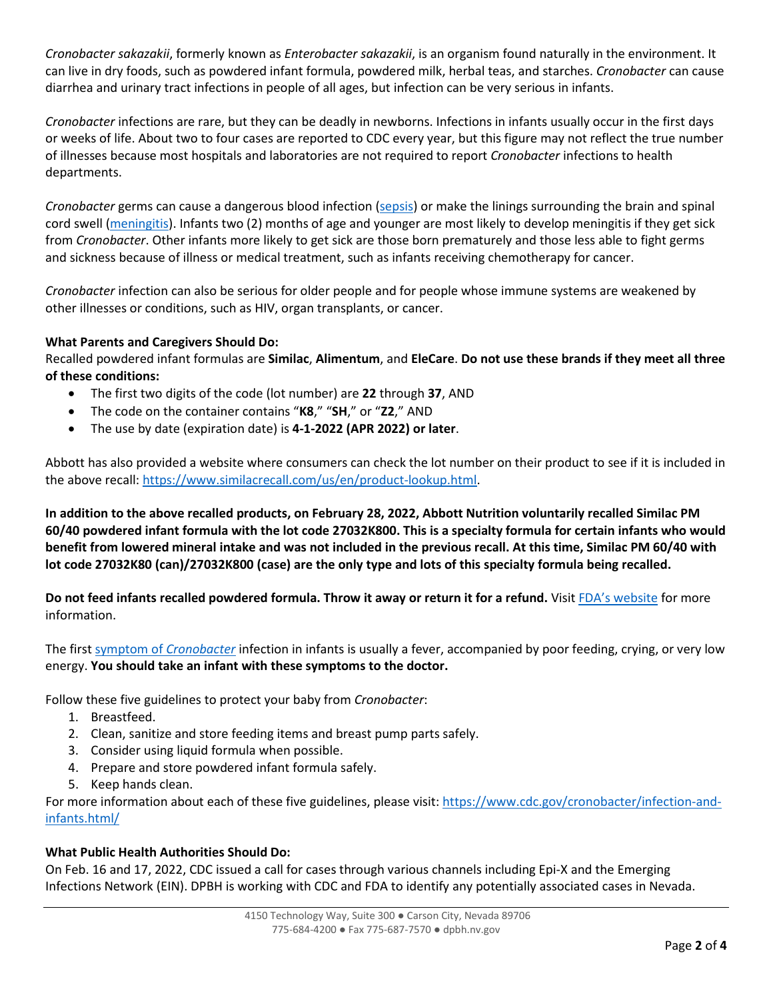*Cronobacter sakazakii*, formerly known as *Enterobacter sakazakii*, is an organism found naturally in the environment. It can live in dry foods, such as powdered infant formula, powdered milk, herbal teas, and starches. *Cronobacter* can cause diarrhea and urinary tract infections in people of all ages, but infection can be very serious in infants.

*Cronobacter* infections are rare, but they can be deadly in newborns. Infections in infants usually occur in the first days or weeks of life. About two to four cases are reported to CDC every year, but this figure may not reflect the true number of illnesses because most hospitals and laboratories are not required to report *Cronobacter* infections to health departments.

*Cronobacter* germs can cause a dangerous blood infection [\(sepsis\)](https://www.cdc.gov/sepsis/) or make the linings surrounding the brain and spinal cord swell [\(meningitis\)](https://www.cdc.gov/meningitis/index.html). Infants two (2) months of age and younger are most likely to develop meningitis if they get sick from *Cronobacter*. Other infants more likely to get sick are those born prematurely and those less able to fight germs and sickness because of illness or medical treatment, such as infants receiving chemotherapy for cancer.

*Cronobacter* infection can also be serious for older people and for people whose immune systems are weakened by other illnesses or conditions, such as HIV, organ transplants, or cancer.

## **What Parents and Caregivers Should Do:**

Recalled powdered infant formulas are **Similac**, **Alimentum**, and **EleCare**. **Do not use these brands if they meet all three of these conditions:**

- The first two digits of the code (lot number) are **22** through **37**, AND
- The code on the container contains "**K8**," "**SH**," or "**Z2**," AND
- The use by date (expiration date) is **4-1-2022 (APR 2022) or later**.

Abbott has also provided a website where consumers can check the lot number on their product to see if it is included in the above recall: [https://www.similacrecall.com/us/en/product-lookup.html.](https://www.similacrecall.com/us/en/product-lookup.html)

**In addition to the above recalled products, on February 28, 2022, Abbott Nutrition voluntarily recalled Similac PM 60/40 powdered infant formula with the lot code 27032K800. This is a specialty formula for certain infants who would benefit from lowered mineral intake and was not included in the previous recall. At this time, Similac PM 60/40 with lot code 27032K80 (can)/27032K800 (case) are the only type and lots of this specialty formula being recalled.**

**Do not feed infants recalled powdered formula. Throw it away or return it for a refund.** Visit [FDA's website](https://www.fda.gov/safety/recalls-market-withdrawals-safety-alerts/abbott-voluntarily-recalls-powder-formulas-manufactured-one-plant) for more information.

The first [symptom of](https://www.cdc.gov/cronobacter/definition.html) *Cronobacter* infection in infants is usually a fever, accompanied by poor feeding, crying, or very low energy. **You should take an infant with these symptoms to the doctor.**

Follow these five guidelines to protect your baby from *Cronobacter*:

- 1. Breastfeed.
- 2. Clean, sanitize and store feeding items and breast pump parts safely.
- 3. Consider using liquid formula when possible.
- 4. Prepare and store powdered infant formula safely.
- 5. Keep hands clean.

For more information about each of these five guidelines, please visit[: https://www.cdc.gov/cronobacter/infection-and](https://www.cdc.gov/cronobacter/infection-and-infants.html/)[infants.html/](https://www.cdc.gov/cronobacter/infection-and-infants.html/)

#### **What Public Health Authorities Should Do:**

On Feb. 16 and 17, 2022, CDC issued a call for cases through various channels including Epi-X and the Emerging Infections Network (EIN). DPBH is working with CDC and FDA to identify any potentially associated cases in Nevada.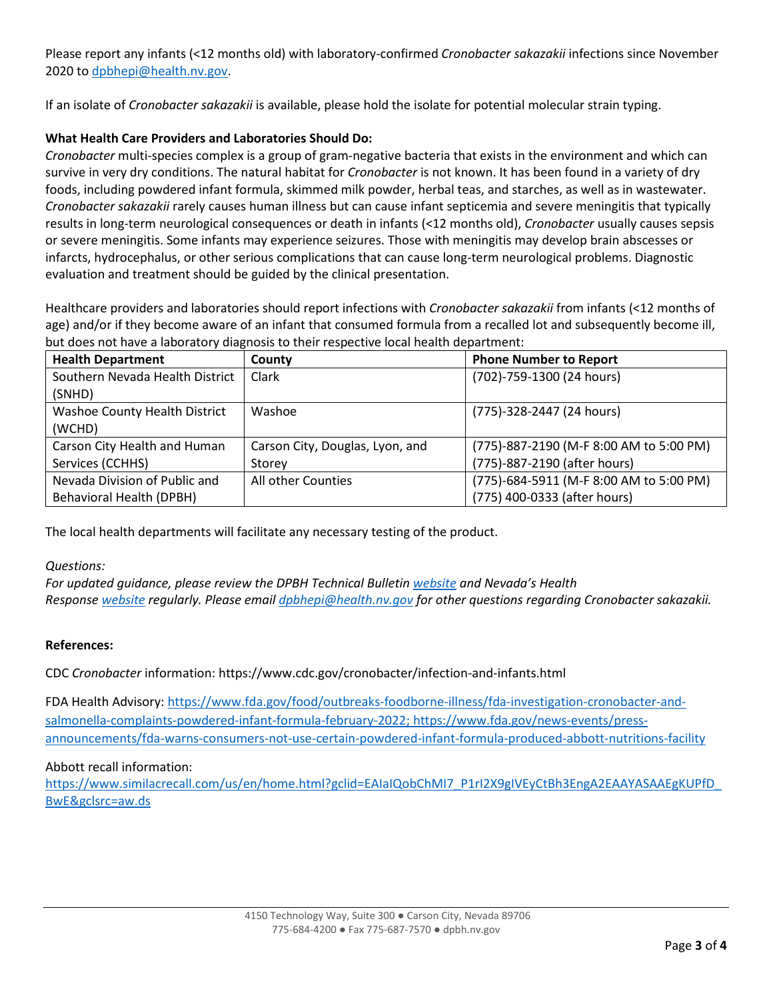Please report any infants (<12 months old) with laboratory-confirmed *Cronobacter sakazakii* infections since November 2020 to [dpbhepi@health.nv.gov.](mailto:dpbhepi@health.nv.gov)

If an isolate of *Cronobacter sakazakii* is available, please hold the isolate for potential molecular strain typing.

## **What Health Care Providers and Laboratories Should Do:**

*Cronobacter* multi-species complex is a group of gram-negative bacteria that exists in the environment and which can survive in very dry conditions. The natural habitat for *Cronobacter* is not known. It has been found in a variety of dry foods, including powdered infant formula, skimmed milk powder, herbal teas, and starches, as well as in wastewater. *Cronobacter sakazakii* rarely causes human illness but can cause infant septicemia and severe meningitis that typically results in long-term neurological consequences or death in infants (<12 months old), *Cronobacter* usually causes sepsis or severe meningitis. Some infants may experience seizures. Those with meningitis may develop brain abscesses or infarcts, hydrocephalus, or other serious complications that can cause long-term neurological problems. Diagnostic evaluation and treatment should be guided by the clinical presentation.

Healthcare providers and laboratories should report infections with *Cronobacter sakazakii* from infants (<12 months of age) and/or if they become aware of an infant that consumed formula from a recalled lot and subsequently become ill, but does not have a laboratory diagnosis to their respective local health department:

| <b>Health Department</b>        | County                          | <b>Phone Number to Report</b>           |
|---------------------------------|---------------------------------|-----------------------------------------|
| Southern Nevada Health District | Clark                           | (702)-759-1300 (24 hours)               |
| (SNHD)                          |                                 |                                         |
| Washoe County Health District   | Washoe                          | (775)-328-2447 (24 hours)               |
| (WCHD)                          |                                 |                                         |
| Carson City Health and Human    | Carson City, Douglas, Lyon, and | (775)-887-2190 (M-F 8:00 AM to 5:00 PM) |
| Services (CCHHS)                | Storey                          | (775)-887-2190 (after hours)            |
| Nevada Division of Public and   | All other Counties              | (775)-684-5911 (M-F 8:00 AM to 5:00 PM) |
| <b>Behavioral Health (DPBH)</b> |                                 | (775) 400-0333 (after hours)            |

The local health departments will facilitate any necessary testing of the product.

#### *Questions:*

*For updated guidance, please review the DPBH Technical Bulletin [website](http://dpbh.nv.gov/Resources/Technical_Bulletins-New/) and Nevada's Health Response [website](https://nvhealthresponse.nv.gov/) regularly. Please email [dpbhepi@health.nv.gov](mailto:dpbhepi@health.nv.gov) for other questions regarding Cronobacter sakazakii.*

#### **References:**

CDC *Cronobacter* information: https://www.cdc.gov/cronobacter/infection-and-infants.html

FDA Health Advisory: [https://www.fda.gov/food/outbreaks-foodborne-illness/fda-investigation-cronobacter-and](https://www.fda.gov/food/outbreaks-foodborne-illness/fda-investigation-cronobacter-and-salmonella-complaints-powdered-infant-formula-february-2022)[salmonella-complaints-powdered-infant-formula-february-2022;](https://www.fda.gov/food/outbreaks-foodborne-illness/fda-investigation-cronobacter-and-salmonella-complaints-powdered-infant-formula-february-2022) https://www.fda.gov/news-events/pressannouncements/fda-warns-consumers-not-use-certain-powdered-infant-formula-produced-abbott-nutritions-facility

#### Abbott recall information:

[https://www.similacrecall.com/us/en/home.html?gclid=EAIaIQobChMI7\\_P1rI2X9gIVEyCtBh3EngA2EAAYASAAEgKUPfD\\_](https://www.similacrecall.com/us/en/home.html?gclid=EAIaIQobChMI7_P1rI2X9gIVEyCtBh3EngA2EAAYASAAEgKUPfD_BwE&gclsrc=aw.ds) [BwE&gclsrc=aw.ds](https://www.similacrecall.com/us/en/home.html?gclid=EAIaIQobChMI7_P1rI2X9gIVEyCtBh3EngA2EAAYASAAEgKUPfD_BwE&gclsrc=aw.ds)